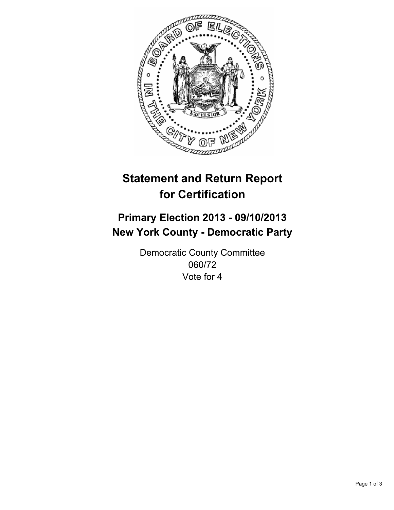

# **Statement and Return Report for Certification**

# **Primary Election 2013 - 09/10/2013 New York County - Democratic Party**

Democratic County Committee 060/72 Vote for 4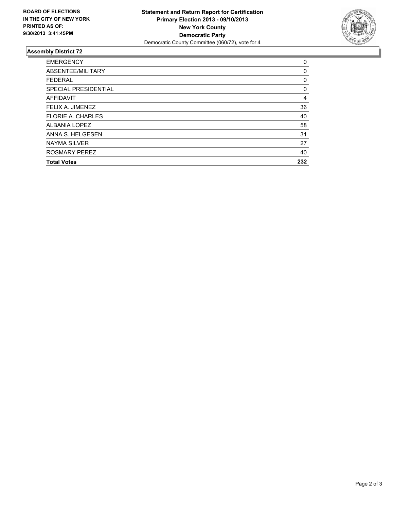

## **Assembly District 72**

| <b>EMERGENCY</b>         | 0   |
|--------------------------|-----|
| ABSENTEE/MILITARY        | 0   |
| <b>FEDERAL</b>           | 0   |
| SPECIAL PRESIDENTIAL     | 0   |
| <b>AFFIDAVIT</b>         | 4   |
| FELIX A. JIMENEZ         | 36  |
| <b>FLORIE A. CHARLES</b> | 40  |
| ALBANIA LOPEZ            | 58  |
| ANNA S. HELGESEN         | 31  |
| <b>NAYMA SILVER</b>      | 27  |
| <b>ROSMARY PEREZ</b>     | 40  |
| <b>Total Votes</b>       | 232 |